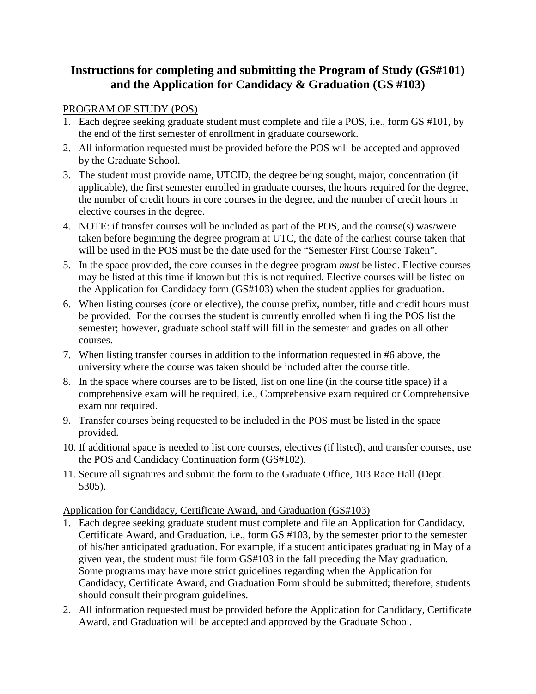## **Instructions for completing and submitting the Program of Study (GS#101) and the Application for Candidacy & Graduation (GS #103)**

## PROGRAM OF STUDY (POS)

- 1. Each degree seeking graduate student must complete and file a POS, i.e., form GS #101, by the end of the first semester of enrollment in graduate coursework.
- 2. All information requested must be provided before the POS will be accepted and approved by the Graduate School.
- 3. The student must provide name, UTCID, the degree being sought, major, concentration (if applicable), the first semester enrolled in graduate courses, the hours required for the degree, the number of credit hours in core courses in the degree, and the number of credit hours in elective courses in the degree.
- 4. NOTE: if transfer courses will be included as part of the POS, and the course(s) was/were taken before beginning the degree program at UTC, the date of the earliest course taken that will be used in the POS must be the date used for the "Semester First Course Taken".
- 5. In the space provided, the core courses in the degree program *must* be listed. Elective courses may be listed at this time if known but this is not required. Elective courses will be listed on the Application for Candidacy form (GS#103) when the student applies for graduation.
- 6. When listing courses (core or elective), the course prefix, number, title and credit hours must be provided. For the courses the student is currently enrolled when filing the POS list the semester; however, graduate school staff will fill in the semester and grades on all other courses.
- 7. When listing transfer courses in addition to the information requested in #6 above, the university where the course was taken should be included after the course title.
- 8. In the space where courses are to be listed, list on one line (in the course title space) if a comprehensive exam will be required, i.e., Comprehensive exam required or Comprehensive exam not required.
- 9. Transfer courses being requested to be included in the POS must be listed in the space provided.
- 10. If additional space is needed to list core courses, electives (if listed), and transfer courses, use the POS and Candidacy Continuation form (GS#102).
- 11. Secure all signatures and submit the form to the Graduate Office, 103 Race Hall (Dept. 5305).

## Application for Candidacy, Certificate Award, and Graduation (GS#103)

- 1. Each degree seeking graduate student must complete and file an Application for Candidacy, Certificate Award, and Graduation, i.e., form GS #103, by the semester prior to the semester of his/her anticipated graduation. For example, if a student anticipates graduating in May of a given year, the student must file form GS#103 in the fall preceding the May graduation. Some programs may have more strict guidelines regarding when the Application for Candidacy, Certificate Award, and Graduation Form should be submitted; therefore, students should consult their program guidelines.
- 2. All information requested must be provided before the Application for Candidacy, Certificate Award, and Graduation will be accepted and approved by the Graduate School.